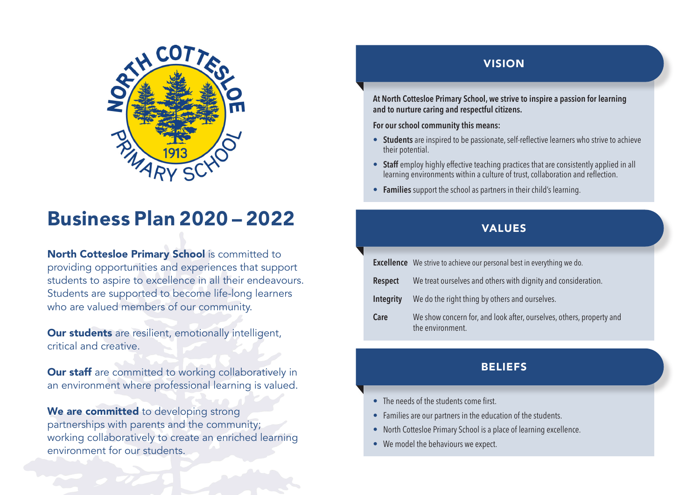

# **Business Plan 2020 – 2022** VALUES

North Cottesloe Primary School is committed to providing opportunities and experiences that support students to aspire to excellence in all their endeavours. Students are supported to become life-long learners who are valued members of our community.

**Our students** are resilient, emotionally intelligent, critical and creative.

**Our staff** are committed to working collaboratively in an environment where professional learning is valued.

We are committed to developing strong partnerships with parents and the community; working collaboratively to create an enriched learning environment for our students.

#### VISION

**At North Cottesloe Primary School, we strive to inspire a passion for learning and to nurture caring and respectful citizens.** 

**For our school community this means:**

- **• Students** are inspired to be passionate, self-reflective learners who strive to achieve their potential.
- **Staff** employ highly effective teaching practices that are consistently applied in all learning environments within a culture of trust, collaboration and reflection.
- **• Families** support the school as partners in their child's learning.

|                  | <b>Excellence</b> We strive to achieve our personal best in everything we do.            |
|------------------|------------------------------------------------------------------------------------------|
| <b>Respect</b>   | We treat ourselves and others with dignity and consideration.                            |
| <b>Integrity</b> | We do the right thing by others and ourselves.                                           |
| Care             | We show concern for, and look after, ourselves, others, property and<br>the environment. |

#### **BELIEFS**

- The needs of the students come first.
- Families are our partners in the education of the students.
- North Cottesloe Primary School is a place of learning excellence.
- We model the behaviours we expect.